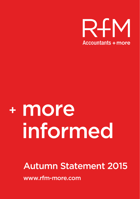

# <sup>+</sup> more informed

# Autumn Statement 2015

www.rfm-more.com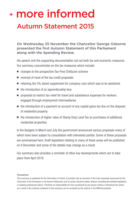# Autumn Statement 2015 <sup>+</sup> more informed

On Wednesday 25 November the Chancellor George Osborne presented the first Autumn Statement of this Parliament along with the Spending Review.

His speech and the supporting documentation set out both tax and economic measures. Our summary concentrates on the tax measures which include:

- $n$  changes to the prospective Tax-Free Childcare scheme
- $\blacksquare$  reversal of most of the tax credit proposals
- $\blacksquare$  retaining the 3% diesel supplement for company cars which was to be abolished
- $\blacksquare$  the introduction of an apprenticeship levy
- $\blacksquare$  proposals to restrict tax relief for travel and subsistence expenses for workers engaged through employment intermediaries
- $\blacksquare$  the introduction of a payment on account of any capital gains tax due on the disposal of residential property
- $\blacksquare$  the introduction of higher rates of Stamp Duty Land Tax on purchases of additional residential properties.

In the Budgets in March and July the government announced various proposals many of which have been subject to consultation with interested parties. Some of these proposals are summarised here. Draft legislation relating to many of these areas will be published on 9 December and some of the details may change as a result.

Our summary also provides a reminder of other key developments which are to take place from April 2016.

#### Disclaimer

This summary is published for the information of clients. It provides only an overview of the main proposals announced by the Chancellor of the Exchequer in his Autumn Statement, and no action should be taken without consulting the detailed legislation or seeking professional advice. Therefore no responsibility for loss occasioned by any person acting or refraining from action as a result of the material contained in this summary can be accepted by the authors or the RfM Accountants.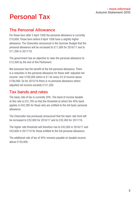# Personal Tax

#### The Personal Allowance

For those born after 5 April 1938 the personal allowance is currently £10,600. Those born before 6 April 1938 have a slightly higher allowance. The Chancellor announced in the Summer Budget that the personal allowance will be increased to £11,000 for 2016/17 and to £11,200 in 2017/18.

The government has an objective to raise the personal allowance to £12,500 by the end of this Parliament.

Not everyone has the benefit of the full personal allowance. There is a reduction in the personal allowance for those with 'adjusted net income' over £100,000 which is £1 for every £2 of income above £100,000. So for 2015/16 there is no personal allowance where adjusted net income exceeds £121,200.

#### Tax bands and rates

The basic rate of tax is currently 20%. The band of income taxable at this rate is £31,785 so that the threshold at which the 40% band applies is £42,385 for those who are entitled to the full basic personal allowance.

The Chancellor has previously announced that the basic rate limit will be increased to £32,000 for 2016/17 and to £32,400 for 2017/18.

The higher rate threshold will therefore rise to £43,000 in 2016/17 and £43,600 in 2017/18 for those entitled to the full personal allowance.

The additional rate of tax of 45% remains payable on taxable income above £150,000.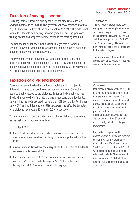### Taxation of savings income

Currently, some individuals qualify for a 0% starting rate of tax on savings income up to £5,000. The government has confirmed that the £5,000 band will be kept at the same level for 2016/17. The rate is not available if taxable non-savings income (broadly earnings, pensions, trading profits and property income) exceeds the starting rate limit.

The Chancellor announced in the March Budget that a Personal Savings Allowance would be introduced for income such as bank and building society interest from 6 April 2016.

The Personal Savings Allowance will apply for up to £1,000 of a basic rate taxpayer's savings income, and up to £500 of a higher rate taxpayer's savings income each year. The Personal Savings Allowance will not be available for additional rate taxpayers.

#### Taxation of dividend income

Currently, when a dividend is paid to an individual, it is subject to different tax rates compared to other income due to a 10% notional tax credit being added to the dividend. So for an individual who has dividend income which falls into the basic rate band the effective tax rate is nil as the 10% tax credit covers the 10% tax liability. For higher rate (40%) and additional rate (45%) taxpayers, the effective tax rates on a dividend receipt are 25% and 30.6% respectively.

To determine which tax band dividends fall into, dividends are treated as the last type of income to be taxed.

From 6 April 2016:

- $\blacksquare$  the 10% dividend tax credit is abolished with the result that the cash dividend received will be the gross amount potentially subject to tax
- $\blacksquare$  a new Dividend Tax Allowance charges the first £5,000 of dividends received in a tax year at 0%
- $\blacksquare$  for dividends above £5,000, new rates of tax on dividend income will be 7.5% for basic rate taxpayers, 32.5% for higher rate taxpayers and 38.1% for additional rate taxpayers.

#### Comment

The current 0% starting rate does not apply to many people as income, such as a salary, exceeds the total of the personal allowance (£10,600) and the starting rate limit of £5,000. The Personal Savings Allowance will however be of benefit to all basic and higher rate taxpayers.

The government estimates that around 95% of taxpayers will not pay any tax on interest received.

#### Comment

Many individuals do not have £5,000 of dividend income so are potential winners in the new regime. The removal of any tax on dividends up to £5,000 increases the attractiveness of holding some investments which provide dividend returns rather than interest receints. Use can then also be made of the CGT annual exemption by selective selling of investments.

Basic rate taxpayers need to appreciate that all dividends received still form part of the total income of an individual. If dividends above £5,000 are received, the first £5,000 will use up some or all of the basic rate band available. The element of dividends above £5,000 which are taxable may well therefore be taxed at 32.5%.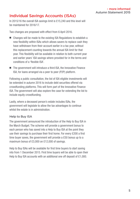# Individual Savings Accounts (ISAs)

In 2015/16 the overall ISA savings limit is £15,240 and this level will be maintained for 2016/17.

Two changes are proposed with effect from 6 April 2016.

- $\blacksquare$  Changes will be made to the existing ISA Regulations to establish a new flexibility within ISAs which allows savers to replace cash they have withdrawn from their account earlier in a tax year, without this replacement counting towards the annual ISA limit for that year. This flexibility will be available in relation to both current year and earlier years' ISA savings where provided for in the terms and conditions of a 'flexible ISA'.
- $\blacksquare$  The government will introduce a third ISA, the Innovative Finance ISA, for loans arranged via a peer to peer (P2P) platform.

Following a public consultation, the list of ISA eligible investments will be extended in autumn 2016 to include debt securities offered via crowdfunding platforms. This will form part of the Innovative Finance ISA. The government will also explore the case for extending the list to include equity crowdfunding.

Lastly, where a deceased person's estate includes ISAs, the government will legislate to allow the tax advantages to continue whilst the estate is in administration.

#### Help to Buy ISA

The government announced the introduction of the Help to Buy ISA in the March Budget. The scheme will provide a government bonus to each person who has saved into a Help to Buy ISA at the point they use their savings to purchase their first home. For every £200 a first time buyer saves, the government will provide a £50 bonus up to a maximum bonus of £3,000 on £12,000 of savings.

Help to Buy ISAs will be available for first time buyers to start saving into from 1 December 2015. First time buyers will be able to open their Help to Buy ISA accounts with an additional one off deposit of £1,000.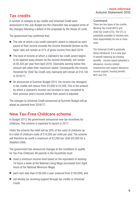## Tax credits

A number of changes to tax credits and Universal Credit were announced in the July Budget but the Chancellor has scrapped some of the changes following a defeat of the proposals by the House of Lords.

The government has confirmed that:

- $\blacksquare$  The rate at which a tax credit claimant's award is reduced as each pound of their income exceeds the income threshold (known as the taper rate) will remain at 41% of gross income from April 2016.
- $\blacksquare$  The level of income at which a claimant's tax credit award begins to be tapered away (known as the income threshold), will remain at £6,420 per year from April 2016. Claimants earning below this amount will retain their maximum award. Consequently the income threshold for Child Tax Credit-only claimants will remain at £16,105 in 2016/17.
- As announced at Summer Budget 2015, the income rise disregard in tax credits will reduce from £5,000 to £2,500. This is the amount by which a claimant's income can increase in-year compared to their previous year's income before their award is adjusted.

The changes to Universal Credit announced at Summer Budget will go ahead as planned from 2016/17.

## New Tax-Free Childcare scheme

In Budget 2013, the government announced new tax incentives for childcare. This scheme is expected to launch in 2017.

Under the scheme the relief will be 20% of the costs of childcare up to a total of childcare costs of £10,000 per child per year. The scheme will therefore be worth a maximum of £2,000 per child (£4,000 for a disabled child).

The government has announced changes to the conditions to qualify for Tax-Free Childcare. All parents in the household must:

- $\blacksquare$  meet a minimum income level based on the equivalent of working 16 hours a week at the National Living Wage (increased from eight hours at the National Minimum Wage)
- each earn less than £100,000 a year (reduced from £150,000), and
- $\blacksquare$  not already be receiving support through tax credits or Universal Credit.

#### Comment

There are two types of tax credits; Working Tax Credit (WTC) and Child Tax Credit (CTC). The CTC is potentially available to families who have responsibility for one or more child.

The Universal Credit is gradually being introduced. It is a new type of benefit replacing six existing benefits - income-based jobseeker's allowance, income-related employment and support allowance, income support, housing benefit, WTC and CTC.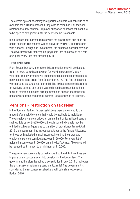The current system of employer supported childcare will continue to be available for current members if they wish to remain in it or they can switch to the new scheme. Employer supported childcare will continue to be open to new joiners until the new scheme is available.

It is proposed that parents register with the government and open an online account. The scheme will be delivered by HMRC in partnership with National Savings and Investments, the scheme's account provider. The government will then 'top up' payments into this account at a rate of 20p for every 80p that families pay in.

#### Free childcare

From September 2017 the free childcare entitlement will be doubled from 15 hours to 30 hours a week for working parents of 3 and 4 year olds. The government will implement this extension of free hours early in some local areas from September 2016. This free childcare is worth around £5,000 a year per child. The 30 hours free childcare offer for working parents of 3 and 4 year olds has been extended to help families maintain childcare arrangements and support the transition back to work at the end of their parental leave or period of ill health.

## Pensions – restriction on tax relief

In the Summer Budget, further restrictions were announced to the amount of Annual Allowance that would be available to individuals. The Annual Allowance provides an annual limit on tax relieved pension savings. It is currently £40,000 (although some individuals may be entitled to a higher figure due to transitional provisions). From 6 April 2016 the government has introduced a taper to the Annual Allowance for those with adjusted annual incomes, including their own and employer's pension contributions, over £150,000. For every £2 of adjusted income over £150,000, an individual's Annual Allowance will be reduced by £1, down to a minimum of £10,000.

The government also wants to make sure that the right incentives are in place to encourage saving into pensions in the longer term. The government therefore launched a consultation in July 2015 on whether there is a case for reforming pensions tax relief. The government is considering the responses received and will publish a response at Budget 2016.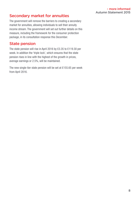## Secondary market for annuities

The government will remove the barriers to creating a secondary market for annuities, allowing individuals to sell their annuity income stream. The government will set out further details on this measure, including the framework for the consumer protection package, in its consultation response this December.

#### State pension

The state pension will rise in April 2016 by £3.35 to £119.30 per week. In addition the 'triple lock', which ensures that the state pension rises in line with the highest of the growth in prices, average earnings or 2.5%, will be maintained.

The new single-tier state pension will be set at £155.65 per week from April 2016.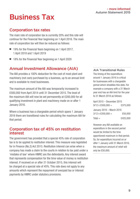# Business Tax

#### Corporation tax rates

The main rate of corporation tax is currently 20% and this rate will continue for the Financial Year beginning on 1 April 2016. The main rate of corporation tax will then be reduced as follows:

- 19% for the Financial Years beginning on 1 April 2017, 1 April 2018 and 1 April 2019
- 18% for the Financial Year beginning on 1 April 2020

#### Annual Investment Allowance (AIA)

The AIA provides a 100% deduction for the cost of most plant and machinery (not cars) purchased by a business, up to an annual limit and is available to most businesses.

The maximum amount of the AIA was temporarily increased to £500,000 from April 2014 until 31 December 2015. The level of the maximum AIA will now be set permanently at £200,000 for all qualifying investment in plant and machinery made on or after 1 January 2016.

Where a business has a chargeable period which spans 1 January 2016 there are transitional rules for calculating the maximum AIA for that period.

#### Corporation tax of 45% on restitution interest

The government has provided that a special 45% rate of corporation tax is to be applied to restitution interest. This measure was legislated for in Finance (No.2) Act 2015. Restitution interest can arise when a company has made a claim to the courts in relation to tax paid under a 'mistake of law' where HMRC are the defendants. Any interest award that represents compensation for the time value of money is restitution interest. If received on or after 21 October 2015, this interest will be charged at a special rate of 45%. This rate does not apply to any amounts which represent the repayment of overpaid tax or interest payments by HMRC under statutory provisions.

AIA Transitional Rules

The timing of the expenditure around 1 January 2016 is critical for businesses with a chargeable period which straddles this date. For example a company with a 31 March year end has an AIA limit for the year to 31 March 2016 as follows:

April 2015 – December 2015  $9/12 \times \text{\pounds}500.000 = \text{\pounds}375.000$ January 2016 – March 2016  $3/12 \times \text{\pounds}200.000 = \text{\pounds}50.000$  $Total =$   $$425,000$ 

However any AIA available on expenditure in the second period would be limited to the time apportioned maximum in that period. So, for expenditure incurred on or after 1 January until 31 March 2016, the maximum amount of relief will only be £50,000.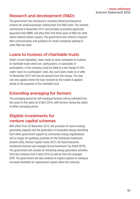## Research and development (R&D)

The government has introduced a voluntary Advanced Assurance scheme for small businesses making their first R&D claim. The scheme commenced in November 2015 and provides successful applicants assurance that HMRC will allow their first three years of R&D tax relief claims without further enquiry. The government also intend to improve their communication and guidance for small companies seeking to claim R&D tax relief.

#### Loans to trustees of charitable trusts

Under current legislation, loans made by close companies to trustees of charitable trusts which are participators, or associates of participators, in the company could be liable to a tax charge of 25% under 'loans to a participator' rules. Any such loans made on or after 25 November 2015 will now be exempt from this charge. The new rule only applies where the loan received by the trustee is applied wholly to the purposes of the charitable trust.

# Extending averaging for farmers

The averaging period for self-employed farmers will be extended from two years to five years as of April 2016, with farmers having the option of either averaging period.

# Eligible investments for venture capital schemes

With effect from 30 November 2015, the provision of reserve energy generating capacity and the generation of renewable energy benefiting from other government support by community energy organisations will no longer be qualifying activities for the Enterprise Investment Scheme (EIS), Venture Capital Trusts (VCT), the Seed Enterprise Investment Scheme and enlarged Social Investment Tax Relief (SITR). The government will exclude all remaining energy generation activities from the schemes from 6 April 2016 as well as from the enlarged SITR. The government will also continue to explore options to introduce increased flexibility for replacement capital within the schemes.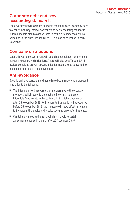# Corporate debt and new accounting standards

The government will legislate to update the tax rules for company debt to ensure that they interact correctly with new accounting standards in three specific circumstances. Details of the circumstances will be contained in the draft Finance Bill 2016 clauses to be issued in early **December** 

# Company distributions

Later this year the government will publish a consultation on the rules concerning company distributions. There will also be a Targeted Antiavoidance Rule to prevent opportunities for income to be converted to capital in order to gain a tax advantage.

# Anti-avoidance

Specific anti-avoidance amendments have been made or are proposed in relation to the following:

- $\blacksquare$  The intangible fixed asset rules for partnerships with corporate members, which apply to transactions involving transfers of intangible fixed assets to the partnership that take place on or after 25 November 2015. With regard to transactions that occurred before 25 November 2015, the measure will have effect in relation to the accounting debits and credits accruing on or after that date.
- $\Box$  Capital allowances and leasing which will apply to certain agreements entered into on or after 25 November 2015.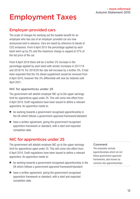# Employment Taxes

### Employer-provided cars

The scale of charges for working out the taxable benefit for an employee who has use of an employer provided car are now announced well in advance. Cars are taxed by reference to bands of CO2 emissions. From 6 April 2015 the percentage applied by each band went up by 2% and the maximum charge is capped at 37% of the list price of the car.

From 6 April 2016 there will be a further 2% increase in the percentage applied by each band with similar increases in 2017/18 and 2018/19. For 2019/20 the rate will increase by a further 3%. It had been expected that the 3% diesel supplement would be removed from 6 April 2016, however this 3% differential will now be retained until April 2021.

#### NIC for apprentices under 25

The government will abolish employer NIC up to the upper earnings limit for apprentices aged under 25. This will come into effect from 6 April 2016. Draft regulations have been issued to define a relevant apprentice. An apprentice needs to:

- $\blacksquare$  be working towards a government recognised apprenticeship in the UK which follows a government approved framework/standard
- $\blacksquare$  have a written agreement, giving the government recognised apprentice framework or standard, with a start and expected completion date.

## NIC for apprentices under 25

The government will abolish employer NIC up to the upper earnings limit for apprentices aged under 25. This will come into effect from 6 April 2016. Draft regulations have been issued to define a relevant apprentice. An apprentice needs to:

- $\blacksquare$  be working towards a government recognised apprenticeship in the UK which follows a government approved framework/standard
- $\blacksquare$  have a written agreement, giving the government recognised apprentice framework or standard, with a start and expected completion date.

#### Comment

The proposals exclude apprenticeships which do not follow government approved frameworks, also known as common law apprenticeships.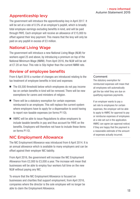## Apprenticeship levy

The government will introduce the apprenticeship levy in April 2017. It will be set at a rate of 0.5% of an employer's paybill, which is broadly total employee earnings excluding benefits in kind, and will be paid through PAYE. Each employer will receive an allowance of £15,000 to offset against their levy payment. This means that the levy will only be paid on any paybill in excess of £3 million.

#### National Living Wage

The government will introduce a new National Living Wage (NLW) for workers aged 25 and above, by introducing a premium on top of the National Minimum Wage (NMW). From April 2016, the NLW will be set at £7.20 an hour. This rate is 50p higher than the current NMW rate.

#### Review of employee benefits

From 6 April 2016 a number of changes are introduced relating to the tax treatment of employee benefits in kind and expenses:

- $\blacksquare$  The £8,500 threshold below which employees do not pay income tax on certain benefits in kind will be removed. There will be new exemptions for carers and ministers of religion.
- $\blacksquare$  There will be a statutory exemption for certain expenses reimbursed to an employee. This will replace the current system where employers have to apply for a dispensation to avoid having to report non-taxable expenses (on forms P11D).
- $\blacksquare$  HMRC will be able to issue Regulations to allow employers to include taxable benefits in pay and thus account for PAYE on the benefits. Employers will therefore not have to include these items on forms P11D.

#### NIC Employment Allowance

The NIC Employment Allowance was introduced from 6 April 2014. It is an annual allowance which is available to many employers and can be offset against their employer NIC liability.

From April 2016, the government will increase the NIC Employment Allowance from £2,000 to £3,000 a year. The increase will mean that businesses will be able to employ four workers full time on the new NLW without paying any NIC.

To ensure that the NIC Employment Allowance is focused on businesses and charities that support employment, from April 2016, companies where the director is the sole employee will no longer be able to claim the Employment Allowance.

#### Comment

The statutory exemption for reimbursed expenses will mean that all employees will automatically get the tax relief they are due on qualifying expenses payments.

If an employer wants to pay a set rate to employees for certain expenses, the employer will be able to apply to HMRC for approval to pay or reimburse expenses of employees at a rate set out in the application. HMRC can agree (an approval notice) if they are happy that the payment is a reasonable estimate of the amount of expenses actually incurred.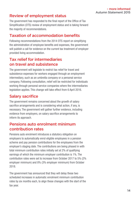# Review of employment status

The government has responded to the final report of the Office of Tax Simplification (OTS) review of employment status and is taking forward the majority of recommendations.

# Taxation of accommodation benefits

Following recommendations from the 2014 OTS report on simplifying the administration of employee benefits and expenses, the government will publish a call for evidence on the current tax treatment of employer provided living accommodation.

## Tax relief for intermediaries on travel and subsistence

The government will legislate to restrict tax relief for travel and subsistence expenses for workers engaged through an employment intermediary, such as an umbrella company or a personal service company. Following consultation, relief will be restricted for individuals working through personal service companies where the intermediaries legislation applies. This change will take effect from 6 April 2016.

# Salary sacrifice

The government remains concerned about the growth of salary sacrifice arrangements and is considering what action, if any, is necessary. The government will gather further evidence, including evidence from employers, on salary sacrifice arrangements to inform its approach.

## Pensions auto enrolment minimum contribution rates

Pensions auto enrolment introduces a statutory obligation on employers to automatically enrol eligible employees in a pension scheme and pay pension contributions for the employees from the employer's staging date. The contributions are being phased in with total minimum contribution rates initially set at 2% of qualifying earnings of which the minimum employer contribution is 1%. The contribution rates were set to increase from October 2017 to 5% (2% employer minimum) and 8% (3% employer minimum) from October 2018.

The government has announced that they will delay these two scheduled increases in automatic enrolment minimum contribution rates by six months each, to align these changes with the start of the tax year.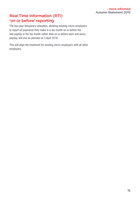# Real Time Information (RTI) 'on or before' reporting

The two year temporary relaxation, allowing existing micro-employers to report all payments they make in a tax month on or before the last payday in the tax month rather than on or before each and every payday, will end as planned on 5 April 2016.

This will align the treatment for existing micro-employers with all other employers.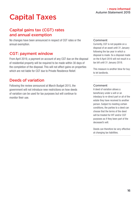# Capital Taxes

# Capital gains tax (CGT) rates and annual exemption

No changes have been announced in respect of CGT rates or the annual exemption.

#### CGT: payment window

From April 2019, a payment on account of any CGT due on the disposal of residential property will be required to be made within 30 days of the completion of the disposal. This will not affect gains on properties which are not liable for CGT due to Private Residence Relief.

# Deeds of variation

Following the review announced at March Budget 2015, the government will not introduce new restrictions on how deeds of variation can be used for tax purposes but will continue to monitor their use.

#### Comment

Currently, CGT is not payable on a disposal of an asset until 31 January following the tax year in which a disposal is made. So a disposal made on the 6 April 2016 will not result in a tax bill until 31 January 2018.

This measure is another blow for buy to let landlords.

#### Comment

A deed of variation allows a beneficiary under a will or an intestacy to re-direct part or all of the estate they have received to another person. Subject to meeting certain conditions, the parties to a deed can choose that the terms of the deed will be treated for IHT and/or CGT purposes as if they been part of the deceased's will.

Deeds can therefore be very effective at changing tax liabilities.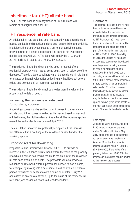#### Inheritance tax (IHT) nil rate band

The IHT nil rate band is currently frozen at £325,000 and will remain at this figure until April 2021.

#### IHT residence nil rate band

An additional nil rate band has been introduced where a residence is passed on death to direct descendants such as a child or a grandchild. In addition, the property can pass to a current or surviving spouse or civil partner of a direct descendant. The band is not available for deaths before 6 April 2017. The band will initially be £100,000 in 2017/18, rising in stages to £175,000 by 2020/21.

The residence nil rate band can only be used in respect of one residential property which has, at some point, been a residence of the deceased. There is a tapered withdrawal of the residence nil rate band for estates with a net value (after deducting any liabilities but before reliefs and exemptions) of more than £2 million.

The residence nil rate band cannot be greater than the value of the property at the date of death.

#### Increasing the residence nil rate band for surviving spouses

A surviving spouse may be entitled to an increase in the residence nil rate band if the spouse who died earlier has not used, or was not entitled to use, their full residence nil rate band. The increase applies even if the earlier death was before 6 April 2017.

The calculations involved are potentially complex but the increase will often result in a doubling of the residence nil rate band for the surviving spouse.

#### Proposed relief for downsizing

Proposals will be introduced in Finance Bill 2016 to provide an increase in the residence nil rate band where the value of the property into which a person has downsized limits the amount of the residence nil rate band available on death. The proposals will also provide a residence nil rate band where a person has ceased to own a home, for example, by moving into a care home. It will be available when a person downsizes or ceases to own a home on or after 8 July 2015 and assets of an equivalent value, up to the value of the residence nil rate band, are passed on death to direct descendants.

#### Comment

The potential increase in the nil rate band is to be welcomed by many individuals but the increase has introduced considerable complexity to IHT. From April 2017 we have three nil rate bands to consider. The standard nil rate band has been a part of the legislation from the start of IHT in 1986. In 2007 the ability to utilize the unused nil rate band of deceased spouse was introduced enabling many surviving spouses to have a nil rate band of up to £650,000. By 6 April 2020 some surviving spouses will be able to add £350,000 in respect of the residence nil rate band to arrive at a total nil rate band of £1 million. However this will only be achieved by careful planning and, in some cases, it may be better for the first deceased spouse to have given some assets to the next generation and use up some or all of the available nil rate bands.

#### Example

Joe and Jill were married. Joe died in 2010 and his total estate was under £2 million. Jill dies in May 2017 and her house is bequeathed to her children. If her total estate is under £2 million the potential residence nil rate band is £200,000 (2 X £100,000). If the value of the property is less than £200,000, the increase in the nil rate band is limited to the value of the property.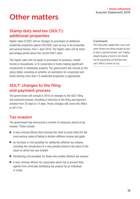# Other matters

# Stamp duty land tax (SDLT): additional properties

Higher rates of SDLT will be charged on purchases of additional residential properties (above £40,000), such as buy to let properties and second homes, from 1 April 2016. The higher rates will be three percentage points above the current SDLT rates.

The higher rates will not apply to purchases of caravans, mobile homes or houseboats, or to corporates or funds making significant investments in residential property. The government will consult on the policy detail, including on whether an exemption for corporates and funds owning more than 15 residential properties is appropriate.

# SDLT: changes to the filing and payment process

The government will consult in 2016 on changes to the SDLT filing and payment process, including a reduction in the filing and payment window from 30 days to 14 days. These changes will come into effect in 2017/18.

## Tax evasion

The government has announced a number of measures aimed at tax evasion. These include:

- $\blacksquare$  a new criminal offence that removes the need to prove intent for the most serious cases of failing to declare offshore income and gains
- $\blacksquare$  an increase in civil penalties for deliberate offshore tax evasion, including the introduction of a new penalty linked to the value of the asset on which tax was evaded
- $\blacksquare$  introducing civil penalties for those who enable offshore tax evasion
- $\blacksquare$  a new criminal offence for corporates which fail to prevent their agents from criminally facilitating tax evasion by an individual or entity.

#### **Comment**

The Chancellor stated that 'more and more homes are being bought as buy to lets or second homes' and 'frankly, people buying a home to let should not be squeezing out families who can't afford a home to buy'.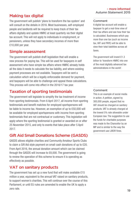## Making tax digital

The government will publish 'plans to transform the tax system' and will consult on the details in 2016. Most businesses, self-employed people and landlords will be required to keep track of their tax affairs digitally and update HMRC at least quarterly via their digital tax account. This will not apply to individuals in employment, or pensioners, unless they have secondary incomes of more than £10,000 per year.

#### Simple assessment

The government will publish draft legislation that will enable a new process for paying tax. This will be used for taxpayers in self assessment who have simple tax affairs where HMRC already holds all the data it needs to calculate the tax liability, and where existing payment processes are not available. Taxpayers will be sent a calculation which will be a legally enforceable demand for payment, and taxpayers will be able to challenge and appeal these calculations. This process will come into effect in the 2016/17 tax year.

## Taxation of sporting testimonials

The government will legislate to simplify the tax treatment of income from sporting testimonials. From 6 April 2017, all income from sporting testimonials and benefit matches for employed sportspersons will be liable to income tax. However, an exemption of up to £50,000 will be available for employed sportspersons with income from sporting testimonials that are not contractual or customary. This legislation will apply where the sporting testimonial is granted or awarded on or after 25 November 2015, and only to events that take place after 5 April 2017.

## Gift Aid Small Donations Scheme (GASDS)

GASDS allows eligible charities and Community Amateur Sports Clubs to claim a Gift Aid style payment on small cash donations of up to £20. From April 2016, the annual donation amount which can be claimed through the GASDS will increase to £8,000. The government is going to review the operation of this scheme to ensure it is operating as effectively as possible.

#### VAT on sanitary products

The government has set up a new fund that will make available £15 million a year, equivalent to the annual VAT raised on sanitary products, to support women's charities. This will continue over the course of this Parliament, or until EU rules are amended to enable the UK to apply a zero rate.

#### Comment

A digital tax account will enable a taxpayer to get a real-time view of their tax affairs and see how their tax is calculated. Businesses which pay more than one tax (such as income tax, VAT and PAYE) will be able to view their total liabilities across all taxes.

The government will invest £1.3 billion to 'transform HMRC into one of the most digitally advanced tax administrations in the world'.

#### Comment

This is an example of social media in action. A petition, signed by 300,000 people, argued that no VAT should be charged on sanitary products. VAT is already charged at the lowest 5% rate allowable under European law. The suggestion to use the funds for charitable purposes was made to the Chancellor by an MP and is similar to the way the government use LIBOR fines.